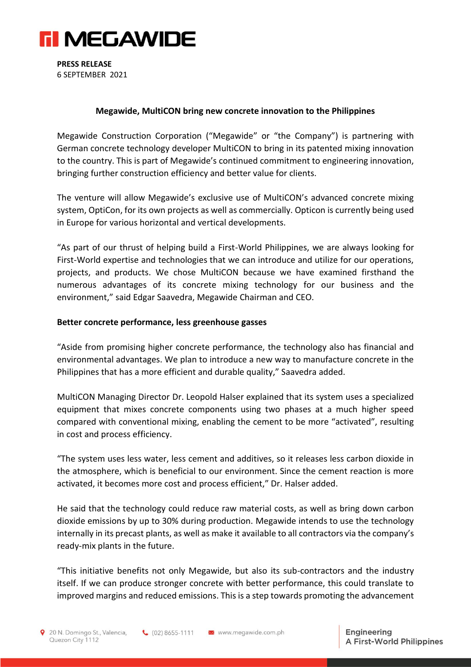

**PRESS RELEASE**  6 SEPTEMBER 2021

#### **Megawide, MultiCON bring new concrete innovation to the Philippines**

Megawide Construction Corporation ("Megawide" or "the Company") is partnering with German concrete technology developer MultiCON to bring in its patented mixing innovation to the country. This is part of Megawide's continued commitment to engineering innovation, bringing further construction efficiency and better value for clients.

The venture will allow Megawide's exclusive use of MultiCON's advanced concrete mixing system, OptiCon, for its own projects as well as commercially. Opticon is currently being used in Europe for various horizontal and vertical developments.

"As part of our thrust of helping build a First-World Philippines, we are always looking for First-World expertise and technologies that we can introduce and utilize for our operations, projects, and products. We chose MultiCON because we have examined firsthand the numerous advantages of its concrete mixing technology for our business and the environment," said Edgar Saavedra, Megawide Chairman and CEO.

#### **Better concrete performance, less greenhouse gasses**

"Aside from promising higher concrete performance, the technology also has financial and environmental advantages. We plan to introduce a new way to manufacture concrete in the Philippines that has a more efficient and durable quality," Saavedra added.

MultiCON Managing Director Dr. Leopold Halser explained that its system uses a specialized equipment that mixes concrete components using two phases at a much higher speed compared with conventional mixing, enabling the cement to be more "activated", resulting in cost and process efficiency.

"The system uses less water, less cement and additives, so it releases less carbon dioxide in the atmosphere, which is beneficial to our environment. Since the cement reaction is more activated, it becomes more cost and process efficient," Dr. Halser added.

He said that the technology could reduce raw material costs, as well as bring down carbon dioxide emissions by up to 30% during production. Megawide intends to use the technology internally in its precast plants, as well as make it available to all contractors via the company's ready-mix plants in the future.

"This initiative benefits not only Megawide, but also its sub-contractors and the industry itself. If we can produce stronger concrete with better performance, this could translate to improved margins and reduced emissions. This is a step towards promoting the advancement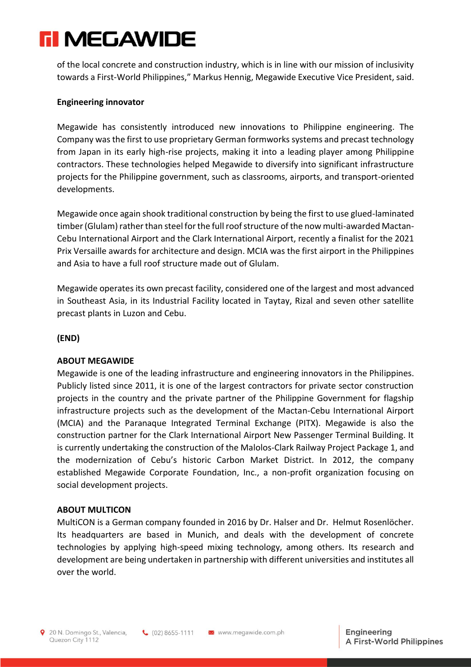# **FI MEGAWIDE**

of the local concrete and construction industry, which is in line with our mission of inclusivity towards a First-World Philippines," Markus Hennig, Megawide Executive Vice President, said.

### **Engineering innovator**

Megawide has consistently introduced new innovations to Philippine engineering. The Company was the first to use proprietary German formworks systems and precast technology from Japan in its early high-rise projects, making it into a leading player among Philippine contractors. These technologies helped Megawide to diversify into significant infrastructure projects for the Philippine government, such as classrooms, airports, and transport-oriented developments.

Megawide once again shook traditional construction by being the first to use glued-laminated timber (Glulam) rather than steel for the full roof structure of the now multi-awarded Mactan-Cebu International Airport and the Clark International Airport, recently a finalist for the 2021 Prix Versaille awards for architecture and design. MCIA was the first airport in the Philippines and Asia to have a full roof structure made out of Glulam.

Megawide operates its own precast facility, considered one of the largest and most advanced in Southeast Asia, in its Industrial Facility located in Taytay, Rizal and seven other satellite precast plants in Luzon and Cebu.

**(END)**

## **ABOUT MEGAWIDE**

Megawide is one of the leading infrastructure and engineering innovators in the Philippines. Publicly listed since 2011, it is one of the largest contractors for private sector construction projects in the country and the private partner of the Philippine Government for flagship infrastructure projects such as the development of the Mactan-Cebu International Airport (MCIA) and the Paranaque Integrated Terminal Exchange (PITX). Megawide is also the construction partner for the Clark International Airport New Passenger Terminal Building. It is currently undertaking the construction of the Malolos-Clark Railway Project Package 1, and the modernization of Cebu's historic Carbon Market District. In 2012, the company established Megawide Corporate Foundation, Inc., a non-profit organization focusing on social development projects.

#### **ABOUT MULTICON**

MultiCON is a German company founded in 2016 by Dr. Halser and Dr. Helmut Rosenlöcher. Its headquarters are based in Munich, and deals with the development of concrete technologies by applying high-speed mixing technology, among others. Its research and development are being undertaken in partnership with different universities and institutes all over the world.

 $(02)8655-1111$ 

www.megawide.com.ph